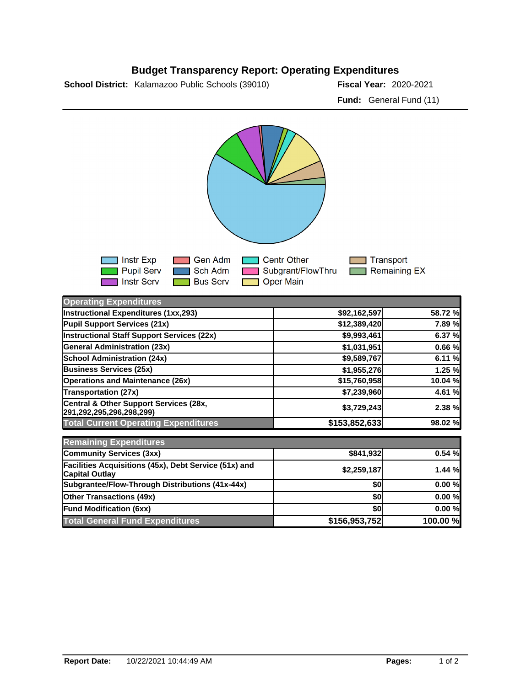## **Budget Transparency Report: Operating Expenditures**

**School District:** Kalamazoo Public Schools (39010) **2020 Fiscal Year:** 2020-2021

**Fund:** General Fund (11)



| <b>Operating Expenditures</b>                                                  |               |          |
|--------------------------------------------------------------------------------|---------------|----------|
| Instructional Expenditures (1xx,293)                                           | \$92,162,597  | 58.72 %  |
| Pupil Support Services (21x)                                                   | \$12,389,420  | 7.89%    |
| <b>Instructional Staff Support Services (22x)</b>                              | \$9,993,461   | 6.37 %   |
| <b>General Administration (23x)</b>                                            | \$1,031,951   | 0.66%    |
| <b>School Administration (24x)</b>                                             | \$9,589,767   | 6.11%    |
| <b>Business Services (25x)</b>                                                 | \$1,955,276   | 1.25 %   |
| <b>Operations and Maintenance (26x)</b>                                        | \$15,760,958  | 10.04 %  |
| <b>Transportation (27x)</b>                                                    | \$7,239,960   | 4.61 %   |
| Central & Other Support Services (28x,<br>291,292,295,296,298,299)             | \$3,729,243   | 2.38 %   |
| <b>Total Current Operating Expenditures</b>                                    | \$153,852,633 | 98.02 %  |
| <b>Remaining Expenditures</b>                                                  |               |          |
| <b>Community Services (3xx)</b>                                                | \$841,932     | 0.54%    |
| Facilities Acquisitions (45x), Debt Service (51x) and<br><b>Capital Outlay</b> | \$2,259,187   | 1.44%    |
| Subgrantee/Flow-Through Distributions (41x-44x)                                | \$0           | 0.00%    |
| <b>Other Transactions (49x)</b>                                                | \$0           | 0.00%    |
| <b>Fund Modification (6xx)</b>                                                 | \$0           | 0.00%    |
| <b>Total General Fund Expenditures</b>                                         | \$156,953,752 | 100.00 % |